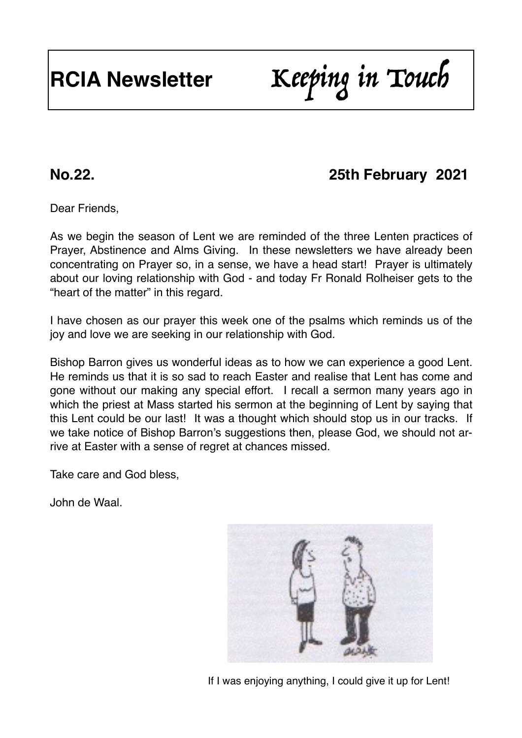# **RCIA Newsletter** Keeping in Touch

## **No.22. 25th February 2021**

Dear Friends,

As we begin the season of Lent we are reminded of the three Lenten practices of Prayer, Abstinence and Alms Giving. In these newsletters we have already been concentrating on Prayer so, in a sense, we have a head start! Prayer is ultimately about our loving relationship with God - and today Fr Ronald Rolheiser gets to the "heart of the matter" in this regard.

I have chosen as our prayer this week one of the psalms which reminds us of the joy and love we are seeking in our relationship with God.

Bishop Barron gives us wonderful ideas as to how we can experience a good Lent. He reminds us that it is so sad to reach Easter and realise that Lent has come and gone without our making any special effort. I recall a sermon many years ago in which the priest at Mass started his sermon at the beginning of Lent by saying that this Lent could be our last! It was a thought which should stop us in our tracks. If we take notice of Bishop Barron's suggestions then, please God, we should not arrive at Easter with a sense of regret at chances missed.

Take care and God bless,

John de Waal.



If I was enjoying anything, I could give it up for Lent!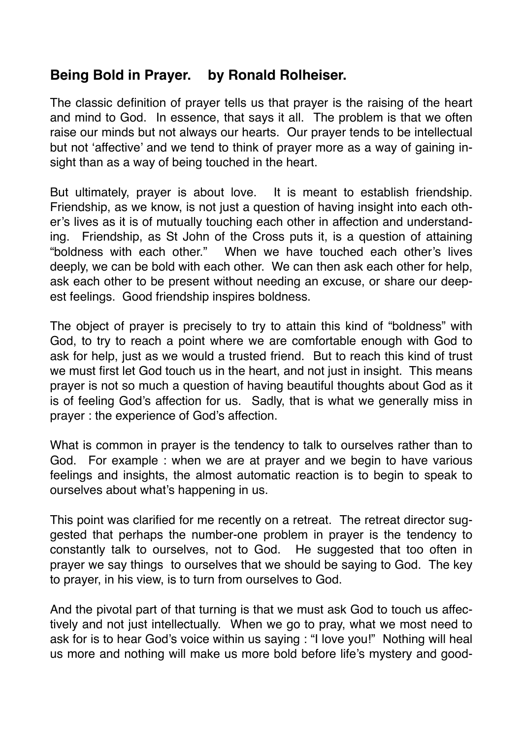#### **Being Bold in Prayer. by Ronald Rolheiser.**

The classic definition of prayer tells us that prayer is the raising of the heart and mind to God. In essence, that says it all. The problem is that we often raise our minds but not always our hearts. Our prayer tends to be intellectual but not 'affective' and we tend to think of prayer more as a way of gaining insight than as a way of being touched in the heart.

But ultimately, prayer is about love. It is meant to establish friendship. Friendship, as we know, is not just a question of having insight into each other's lives as it is of mutually touching each other in affection and understanding. Friendship, as St John of the Cross puts it, is a question of attaining "boldness with each other." When we have touched each other's lives deeply, we can be bold with each other. We can then ask each other for help, ask each other to be present without needing an excuse, or share our deepest feelings. Good friendship inspires boldness.

The object of prayer is precisely to try to attain this kind of "boldness" with God, to try to reach a point where we are comfortable enough with God to ask for help, just as we would a trusted friend. But to reach this kind of trust we must first let God touch us in the heart, and not just in insight. This means prayer is not so much a question of having beautiful thoughts about God as it is of feeling God's affection for us. Sadly, that is what we generally miss in prayer : the experience of God's affection.

What is common in prayer is the tendency to talk to ourselves rather than to God. For example : when we are at prayer and we begin to have various feelings and insights, the almost automatic reaction is to begin to speak to ourselves about what's happening in us.

This point was clarified for me recently on a retreat. The retreat director suggested that perhaps the number-one problem in prayer is the tendency to constantly talk to ourselves, not to God. He suggested that too often in prayer we say things to ourselves that we should be saying to God. The key to prayer, in his view, is to turn from ourselves to God.

And the pivotal part of that turning is that we must ask God to touch us affectively and not just intellectually. When we go to pray, what we most need to ask for is to hear God's voice within us saying : "I love you!" Nothing will heal us more and nothing will make us more bold before life's mystery and good-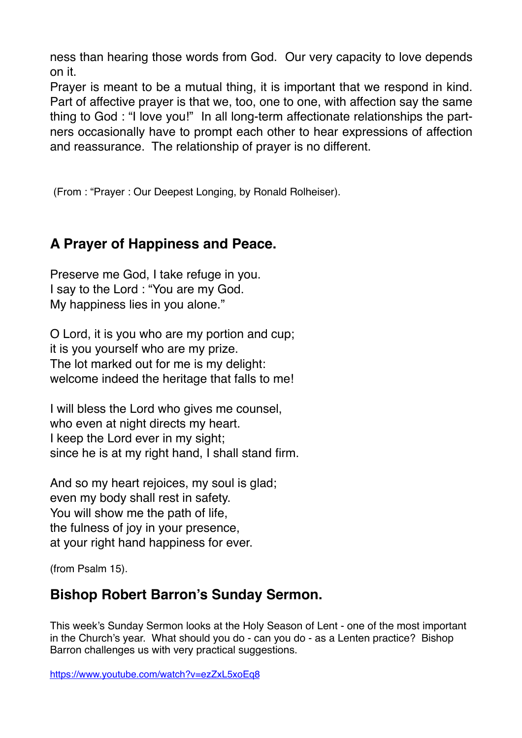ness than hearing those words from God. Our very capacity to love depends on it.

Prayer is meant to be a mutual thing, it is important that we respond in kind. Part of affective prayer is that we, too, one to one, with affection say the same thing to God : "I love you!" In all long-term affectionate relationships the partners occasionally have to prompt each other to hear expressions of affection and reassurance. The relationship of prayer is no different.

(From : "Prayer : Our Deepest Longing, by Ronald Rolheiser).

### **A Prayer of Happiness and Peace.**

Preserve me God, I take refuge in you. I say to the Lord : "You are my God. My happiness lies in you alone."

O Lord, it is you who are my portion and cup; it is you yourself who are my prize. The lot marked out for me is my delight: welcome indeed the heritage that falls to me!

I will bless the Lord who gives me counsel, who even at night directs my heart. I keep the Lord ever in my sight; since he is at my right hand, I shall stand firm.

And so my heart rejoices, my soul is glad; even my body shall rest in safety. You will show me the path of life, the fulness of joy in your presence, at your right hand happiness for ever.

(from Psalm 15).

#### **Bishop Robert Barron's Sunday Sermon.**

This week's Sunday Sermon looks at the Holy Season of Lent - one of the most important in the Church's year. What should you do - can you do - as a Lenten practice? Bishop Barron challenges us with very practical suggestions.